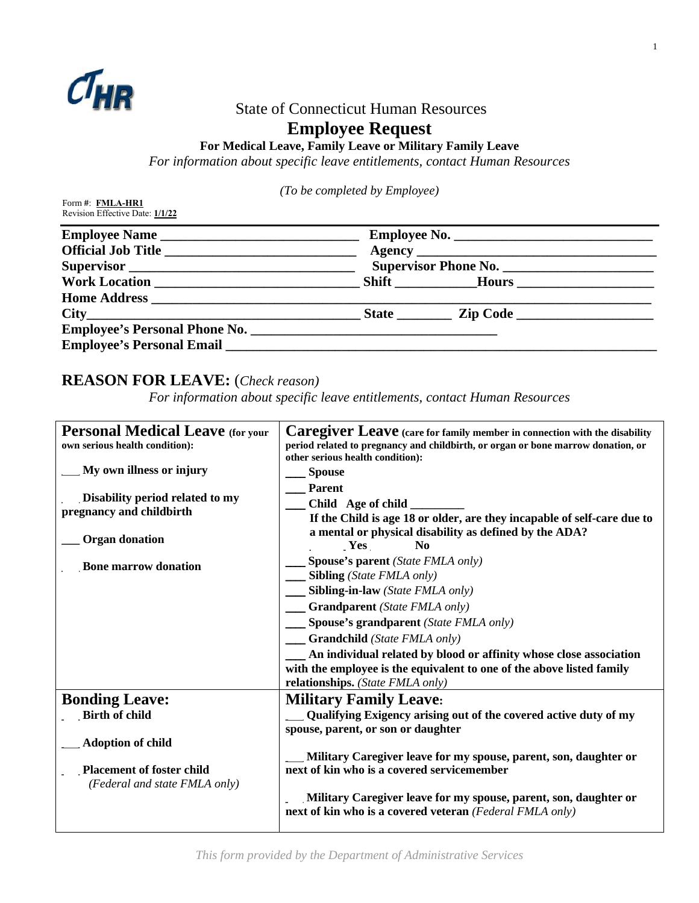

## State of Connecticut Human Resources

# **Employee Request**

### **For Medical Leave, Family Leave or Military Family Leave**

*For information about specific leave entitlements, contact Human Resources*

*(To be completed by Employee)*

|                                                                                                                                                                                                                                | Supervisor Phone No. |  |  |
|--------------------------------------------------------------------------------------------------------------------------------------------------------------------------------------------------------------------------------|----------------------|--|--|
|                                                                                                                                                                                                                                |                      |  |  |
|                                                                                                                                                                                                                                |                      |  |  |
| $City$ $City$ $Step Code$ $Line$                                                                                                                                                                                               |                      |  |  |
|                                                                                                                                                                                                                                |                      |  |  |
| Employee's Personal Email Law and Security and Security and Security and Security and Security and Security and Security and Security and Security and Security and Security and Security and Security and Security and Securi |                      |  |  |

# **REASON FOR LEAVE:** (*Check reason)*

*For information about specific leave entitlements, contact Human Resources* 

| <b>Personal Medical Leave (for your</b>                           | Caregiver Leave (care for family member in connection with the disability                                                    |  |  |  |  |  |  |
|-------------------------------------------------------------------|------------------------------------------------------------------------------------------------------------------------------|--|--|--|--|--|--|
| own serious health condition):                                    | period related to pregnancy and childbirth, or organ or bone marrow donation, or<br>other serious health condition):         |  |  |  |  |  |  |
| My own illness or injury                                          | <b>Spouse</b>                                                                                                                |  |  |  |  |  |  |
| Disability period related to my                                   | <b>Parent</b><br>Child Age of child                                                                                          |  |  |  |  |  |  |
| pregnancy and childbirth                                          | If the Child is age 18 or older, are they incapable of self-care due to                                                      |  |  |  |  |  |  |
| <b>Organ donation</b>                                             | a mental or physical disability as defined by the ADA?<br>Yes<br>N <sub>0</sub>                                              |  |  |  |  |  |  |
| <b>Bone marrow donation</b>                                       | Spouse's parent (State FMLA only)<br>$\equiv$ Sibling (State FMLA only)                                                      |  |  |  |  |  |  |
|                                                                   | Sibling-in-law (State FMLA only)                                                                                             |  |  |  |  |  |  |
|                                                                   | <b>Grandparent</b> (State FMLA only)                                                                                         |  |  |  |  |  |  |
|                                                                   | Spouse's grandparent (State FMLA only)                                                                                       |  |  |  |  |  |  |
|                                                                   | $\hspace{1.5cm}$ Grandchild (State FMLA only)                                                                                |  |  |  |  |  |  |
|                                                                   | An individual related by blood or affinity whose close association                                                           |  |  |  |  |  |  |
|                                                                   | with the employee is the equivalent to one of the above listed family<br>relationships. (State FMLA only)                    |  |  |  |  |  |  |
| <b>Bonding Leave:</b>                                             | <b>Military Family Leave:</b>                                                                                                |  |  |  |  |  |  |
| <b>Birth of child</b>                                             | Qualifying Exigency arising out of the covered active duty of my                                                             |  |  |  |  |  |  |
| <b>Adoption of child</b>                                          | spouse, parent, or son or daughter                                                                                           |  |  |  |  |  |  |
|                                                                   | Military Caregiver leave for my spouse, parent, son, daughter or                                                             |  |  |  |  |  |  |
| <b>Placement of foster child</b><br>(Federal and state FMLA only) | next of kin who is a covered servicemember                                                                                   |  |  |  |  |  |  |
|                                                                   | Military Caregiver leave for my spouse, parent, son, daughter or<br>next of kin who is a covered veteran (Federal FMLA only) |  |  |  |  |  |  |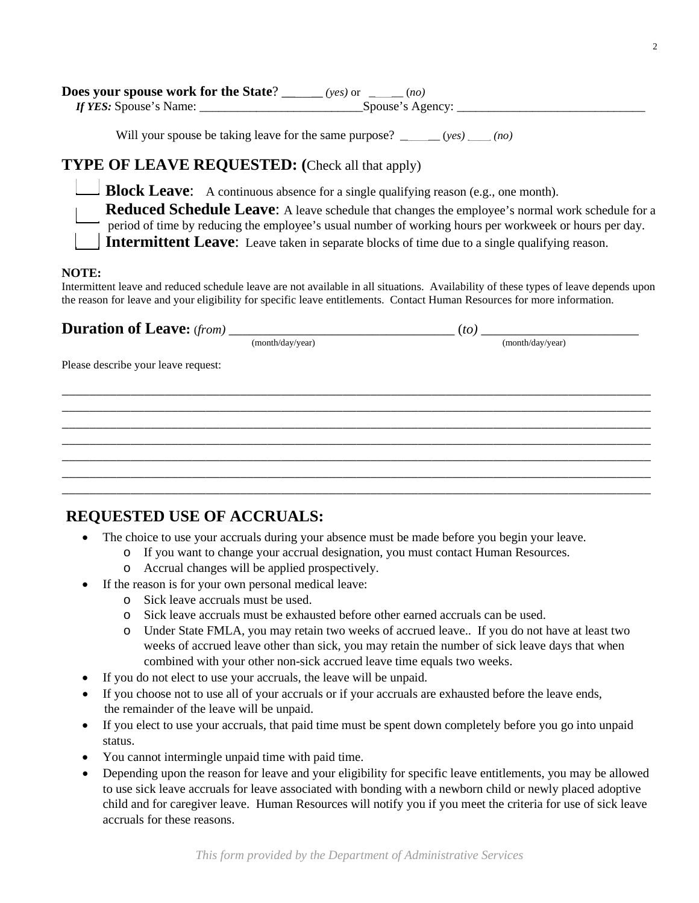| Does your spouse work for the State? _ | $(\text{ves})$ or $(no)$ |  |
|----------------------------------------|--------------------------|--|
| If YES: Spouse's Name:                 | Spouse's Agency:         |  |

Will your spouse be taking leave for the same purpose? \_\_\_\_\_\_\_ (*yes) \_\_\_\_ (no)*

#### **TYPE OF LEAVE REQUESTED: (**Check all that apply)

**Block Leave:** A continuous absence for a single qualifying reason (e.g., one month).

**Reduced Schedule Leave:** A leave schedule that changes the employee's normal work schedule for a period of time by reducing the employee's usual number of working hours per workweek or hours per day. **Intermittent Leave:** Leave taken in separate blocks of time due to a single qualifying reason.

#### **NOTE:**

Intermittent leave and reduced schedule leave are not available in all situations. Availability of these types of leave depends upon the reason for leave and your eligibility for specific leave entitlements. Contact Human Resources for more information.

\_\_\_\_\_\_\_\_\_\_\_\_\_\_\_\_\_\_\_\_\_\_\_\_\_\_\_\_\_\_\_\_\_\_\_\_\_\_\_\_\_\_\_\_\_\_\_\_\_\_\_\_\_\_\_\_\_\_\_\_\_\_\_\_\_\_\_\_\_\_\_\_\_\_\_\_\_\_\_\_\_\_\_\_\_\_ \_\_\_\_\_\_\_\_\_\_\_\_\_\_\_\_\_\_\_\_\_\_\_\_\_\_\_\_\_\_\_\_\_\_\_\_\_\_\_\_\_\_\_\_\_\_\_\_\_\_\_\_\_\_\_\_\_\_\_\_\_\_\_\_\_\_\_\_\_\_\_\_\_\_\_\_\_\_\_\_\_\_\_\_\_\_ \_\_\_\_\_\_\_\_\_\_\_\_\_\_\_\_\_\_\_\_\_\_\_\_\_\_\_\_\_\_\_\_\_\_\_\_\_\_\_\_\_\_\_\_\_\_\_\_\_\_\_\_\_\_\_\_\_\_\_\_\_\_\_\_\_\_\_\_\_\_\_\_\_\_\_\_\_\_\_\_\_\_\_\_\_\_ \_\_\_\_\_\_\_\_\_\_\_\_\_\_\_\_\_\_\_\_\_\_\_\_\_\_\_\_\_\_\_\_\_\_\_\_\_\_\_\_\_\_\_\_\_\_\_\_\_\_\_\_\_\_\_\_\_\_\_\_\_\_\_\_\_\_\_\_\_\_\_\_\_\_\_\_\_\_\_\_\_\_\_\_\_\_ \_\_\_\_\_\_\_\_\_\_\_\_\_\_\_\_\_\_\_\_\_\_\_\_\_\_\_\_\_\_\_\_\_\_\_\_\_\_\_\_\_\_\_\_\_\_\_\_\_\_\_\_\_\_\_\_\_\_\_\_\_\_\_\_\_\_\_\_\_\_\_\_\_\_\_\_\_\_\_\_\_\_\_\_\_\_ \_\_\_\_\_\_\_\_\_\_\_\_\_\_\_\_\_\_\_\_\_\_\_\_\_\_\_\_\_\_\_\_\_\_\_\_\_\_\_\_\_\_\_\_\_\_\_\_\_\_\_\_\_\_\_\_\_\_\_\_\_\_\_\_\_\_\_\_\_\_\_\_\_\_\_\_\_\_\_\_\_\_\_\_\_\_ \_\_\_\_\_\_\_\_\_\_\_\_\_\_\_\_\_\_\_\_\_\_\_\_\_\_\_\_\_\_\_\_\_\_\_\_\_\_\_\_\_\_\_\_\_\_\_\_\_\_\_\_\_\_\_\_\_\_\_\_\_\_\_\_\_\_\_\_\_\_\_\_\_\_\_\_\_\_\_\_\_\_\_\_\_\_

### **Duration of Leave:** (*from)* \_\_\_\_\_\_\_\_\_\_\_\_\_\_\_\_\_\_\_\_\_\_\_\_\_\_\_\_\_\_\_\_\_ (*to)* \_\_\_\_\_\_\_\_\_\_\_\_\_\_\_\_\_\_\_\_\_\_\_

(month/day/year) (month/day/year)

Please describe your leave request:

## **REQUESTED USE OF ACCRUALS:**

- The choice to use your accruals during your absence must be made before you begin your leave.
	- o If you want to change your accrual designation, you must contact Human Resources.
	- o Accrual changes will be applied prospectively.
- If the reason is for your own personal medical leave:
	- o Sick leave accruals must be used.
	- o Sick leave accruals must be exhausted before other earned accruals can be used.
	- o Under State FMLA, you may retain two weeks of accrued leave.. If you do not have at least two weeks of accrued leave other than sick, you may retain the number of sick leave days that when combined with your other non-sick accrued leave time equals two weeks.
- If you do not elect to use your accruals, the leave will be unpaid.
- If you choose not to use all of your accruals or if your accruals are exhausted before the leave ends, the remainder of the leave will be unpaid.
- If you elect to use your accruals, that paid time must be spent down completely before you go into unpaid status.
- You cannot intermingle unpaid time with paid time.
- Depending upon the reason for leave and your eligibility for specific leave entitlements, you may be allowed to use sick leave accruals for leave associated with bonding with a newborn child or newly placed adoptive child and for caregiver leave. Human Resources will notify you if you meet the criteria for use of sick leave accruals for these reasons.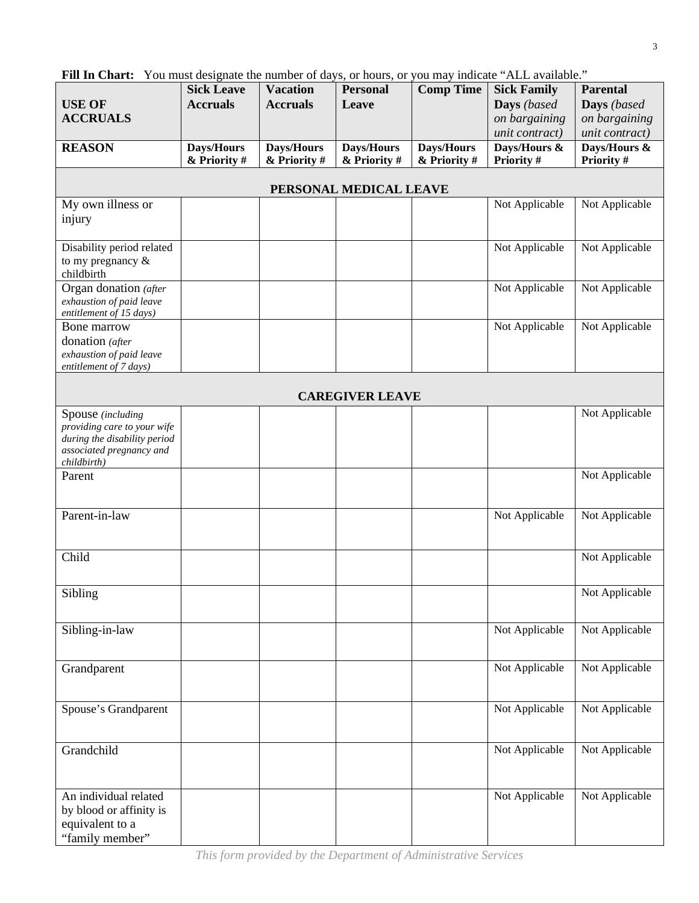| <b>USE OF</b>                                                                                                               | <b>Sick Leave</b><br><b>Accruals</b> | <b>Vacation</b><br><b>Accruals</b> | <b>Personal</b><br>Leave   | <b>Comp Time</b>           | <b>Sick Family</b><br>Days (based | <b>Parental</b><br>Days (based  |  |
|-----------------------------------------------------------------------------------------------------------------------------|--------------------------------------|------------------------------------|----------------------------|----------------------------|-----------------------------------|---------------------------------|--|
| <b>ACCRUALS</b>                                                                                                             |                                      |                                    |                            |                            | on bargaining<br>unit contract)   | on bargaining<br>unit contract) |  |
| <b>REASON</b>                                                                                                               | Days/Hours<br>& Priority #           | Days/Hours<br>& Priority #         | Days/Hours<br>& Priority # | Days/Hours<br>& Priority # | Days/Hours &<br>Priority #        | Days/Hours &<br>Priority #      |  |
| PERSONAL MEDICAL LEAVE                                                                                                      |                                      |                                    |                            |                            |                                   |                                 |  |
| My own illness or                                                                                                           |                                      |                                    |                            |                            | Not Applicable                    | Not Applicable                  |  |
| injury                                                                                                                      |                                      |                                    |                            |                            |                                   |                                 |  |
| Disability period related<br>to my pregnancy $\&$<br>childbirth                                                             |                                      |                                    |                            |                            | Not Applicable                    | Not Applicable                  |  |
| Organ donation (after                                                                                                       |                                      |                                    |                            |                            | Not Applicable                    | Not Applicable                  |  |
| exhaustion of paid leave<br>entitlement of 15 days)                                                                         |                                      |                                    |                            |                            |                                   |                                 |  |
| Bone marrow                                                                                                                 |                                      |                                    |                            |                            | Not Applicable                    | Not Applicable                  |  |
| donation (after<br>exhaustion of paid leave<br>entitlement of 7 days)                                                       |                                      |                                    |                            |                            |                                   |                                 |  |
| <b>CAREGIVER LEAVE</b>                                                                                                      |                                      |                                    |                            |                            |                                   |                                 |  |
| Spouse (including<br>providing care to your wife<br>during the disability period<br>associated pregnancy and<br>childbirth) |                                      |                                    |                            |                            |                                   | Not Applicable                  |  |
| Parent                                                                                                                      |                                      |                                    |                            |                            |                                   | Not Applicable                  |  |
| Parent-in-law                                                                                                               |                                      |                                    |                            |                            | Not Applicable                    | Not Applicable                  |  |
| Child                                                                                                                       |                                      |                                    |                            |                            |                                   | Not Applicable                  |  |
| Sibling                                                                                                                     |                                      |                                    |                            |                            |                                   | Not Applicable                  |  |
| Sibling-in-law                                                                                                              |                                      |                                    |                            |                            | Not Applicable                    | Not Applicable                  |  |
| Grandparent                                                                                                                 |                                      |                                    |                            |                            | Not Applicable                    | Not Applicable                  |  |
| Spouse's Grandparent                                                                                                        |                                      |                                    |                            |                            | Not Applicable                    | Not Applicable                  |  |
| Grandchild                                                                                                                  |                                      |                                    |                            |                            | Not Applicable                    | Not Applicable                  |  |
| An individual related<br>by blood or affinity is<br>equivalent to a<br>"family member"                                      |                                      |                                    |                            |                            | Not Applicable                    | Not Applicable                  |  |

Fill In Chart: You must designate the number of days, or hours, or you may indicate "ALL available."